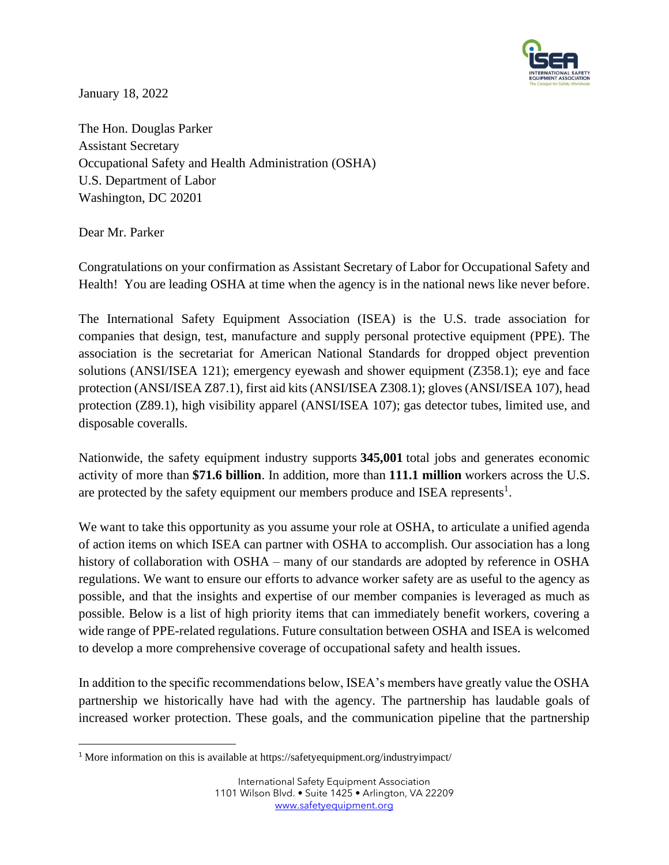

January 18, 2022

The Hon. Douglas Parker Assistant Secretary Occupational Safety and Health Administration (OSHA) U.S. Department of Labor Washington, DC 20201

Dear Mr. Parker

Congratulations on your confirmation as Assistant Secretary of Labor for Occupational Safety and Health! You are leading OSHA at time when the agency is in the national news like never before.

The International Safety Equipment Association (ISEA) is the U.S. trade association for companies that design, test, manufacture and supply personal protective equipment (PPE). The association is the secretariat for American National Standards for dropped object prevention solutions (ANSI/ISEA 121); emergency eyewash and shower equipment (Z358.1); eye and face protection (ANSI/ISEA Z87.1), first aid kits (ANSI/ISEA Z308.1); gloves (ANSI/ISEA 107), head protection (Z89.1), high visibility apparel (ANSI/ISEA 107); gas detector tubes, limited use, and disposable coveralls.

Nationwide, the safety equipment industry supports **345,001** total jobs and generates economic activity of more than **\$71.6 billion**. In addition, more than **111.1 million** workers across the U.S. are protected by the safety equipment our members produce and ISEA represents<sup>1</sup>.

We want to take this opportunity as you assume your role at OSHA, to articulate a unified agenda of action items on which ISEA can partner with OSHA to accomplish. Our association has a long history of collaboration with OSHA – many of our standards are adopted by reference in OSHA regulations. We want to ensure our efforts to advance worker safety are as useful to the agency as possible, and that the insights and expertise of our member companies is leveraged as much as possible. Below is a list of high priority items that can immediately benefit workers, covering a wide range of PPE-related regulations. Future consultation between OSHA and ISEA is welcomed to develop a more comprehensive coverage of occupational safety and health issues.

In addition to the specific recommendations below, ISEA's members have greatly value the OSHA partnership we historically have had with the agency. The partnership has laudable goals of increased worker protection. These goals, and the communication pipeline that the partnership

<sup>&</sup>lt;sup>1</sup> More information on this is available at https://safetyequipment.org/industryimpact/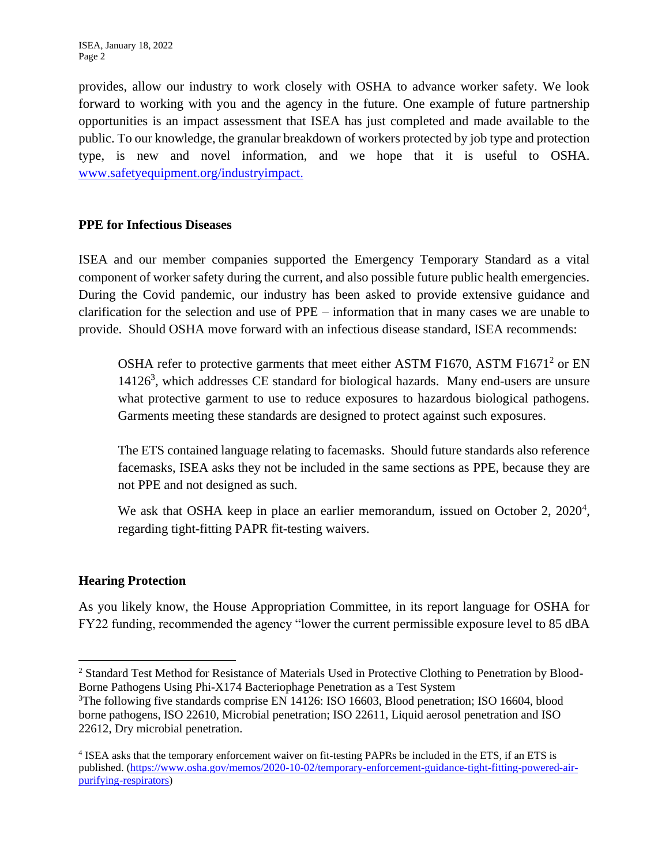provides, allow our industry to work closely with OSHA to advance worker safety. We look forward to working with you and the agency in the future. One example of future partnership opportunities is an impact assessment that ISEA has just completed and made available to the public. To our knowledge, the granular breakdown of workers protected by job type and protection type, is new and novel information, and we hope that it is useful to OSHA. [www.safetyequipment.org/industryimpact.](http://www.safetyequipment.org/industryimpact)

# **PPE for Infectious Diseases**

ISEA and our member companies supported the Emergency Temporary Standard as a vital component of worker safety during the current, and also possible future public health emergencies. During the Covid pandemic, our industry has been asked to provide extensive guidance and clarification for the selection and use of PPE – information that in many cases we are unable to provide. Should OSHA move forward with an infectious disease standard, ISEA recommends:

OSHA refer to protective garments that meet either ASTM F1670, ASTM F1671<sup>2</sup> or EN  $14126<sup>3</sup>$ , which addresses CE standard for biological hazards. Many end-users are unsure what protective garment to use to reduce exposures to hazardous biological pathogens. Garments meeting these standards are designed to protect against such exposures.

The ETS contained language relating to facemasks. Should future standards also reference facemasks, ISEA asks they not be included in the same sections as PPE, because they are not PPE and not designed as such.

We ask that OSHA keep in place an earlier memorandum, issued on October 2, 2020<sup>4</sup>, regarding tight-fitting PAPR fit-testing waivers.

# **Hearing Protection**

As you likely know, the House Appropriation Committee, in its report language for OSHA for FY22 funding, recommended the agency "lower the current permissible exposure level to 85 dBA

<sup>2</sup> Standard Test Method for Resistance of Materials Used in Protective Clothing to Penetration by Blood-Borne Pathogens Using Phi-X174 Bacteriophage Penetration as a Test System

<sup>&</sup>lt;sup>3</sup>The following five standards comprise EN 14126: ISO 16603, Blood penetration; ISO 16604, blood borne pathogens, ISO 22610, Microbial penetration; ISO 22611, Liquid aerosol penetration and ISO 22612, Dry microbial penetration.

<sup>&</sup>lt;sup>4</sup> ISEA asks that the temporary enforcement waiver on fit-testing PAPRs be included in the ETS, if an ETS is published. [\(https://www.osha.gov/memos/2020-10-02/temporary-enforcement-guidance-tight-fitting-powered-air](https://www.osha.gov/memos/2020-10-02/temporary-enforcement-guidance-tight-fitting-powered-air-purifying-respirators)[purifying-respirators\)](https://www.osha.gov/memos/2020-10-02/temporary-enforcement-guidance-tight-fitting-powered-air-purifying-respirators)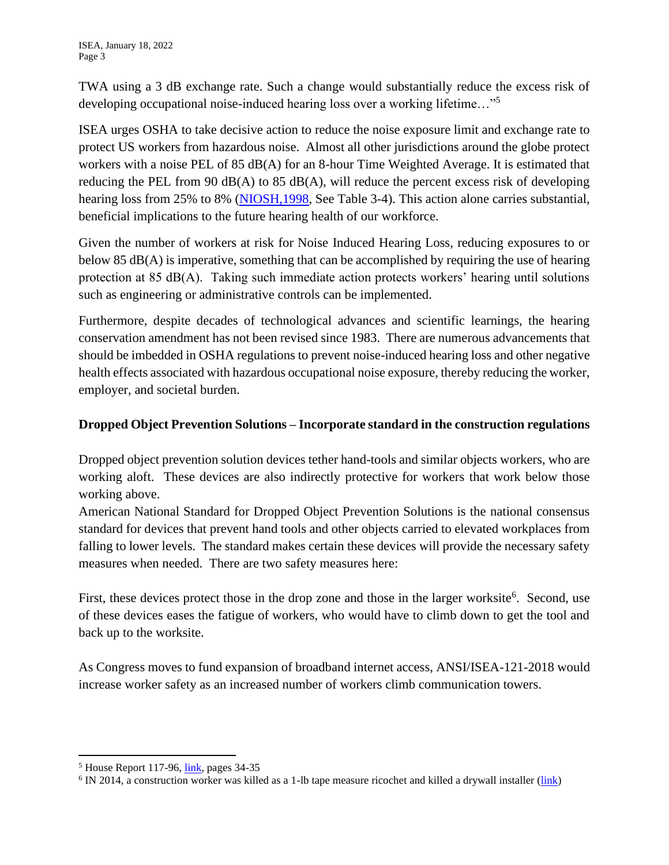ISEA, January 18, 2022 Page 3

TWA using a 3 dB exchange rate. Such a change would substantially reduce the excess risk of developing occupational noise-induced hearing loss over a working lifetime…"<sup>5</sup>

ISEA urges OSHA to take decisive action to reduce the noise exposure limit and exchange rate to protect US workers from hazardous noise. Almost all other jurisdictions around the globe protect workers with a noise PEL of 85 dB(A) for an 8-hour Time Weighted Average. It is estimated that reducing the PEL from 90  $dB(A)$  to 85  $dB(A)$ , will reduce the percent excess risk of developing hearing loss from 25% to 8% (NIOSH, 1998, See Table 3-4). This action alone carries substantial, beneficial implications to the future hearing health of our workforce.

Given the number of workers at risk for Noise Induced Hearing Loss, reducing exposures to or below 85 dB(A) is imperative, something that can be accomplished by requiring the use of hearing protection at 85 dB(A). Taking such immediate action protects workers' hearing until solutions such as engineering or administrative controls can be implemented.

Furthermore, despite decades of technological advances and scientific learnings, the hearing conservation amendment has not been revised since 1983. There are numerous advancements that should be imbedded in OSHA regulations to prevent noise-induced hearing loss and other negative health effects associated with hazardous occupational noise exposure, thereby reducing the worker, employer, and societal burden.

# **Dropped Object Prevention Solutions – Incorporate standard in the construction regulations**

Dropped object prevention solution devices tether hand-tools and similar objects workers, who are working aloft. These devices are also indirectly protective for workers that work below those working above.

American National Standard for Dropped Object Prevention Solutions is the national consensus standard for devices that prevent hand tools and other objects carried to elevated workplaces from falling to lower levels. The standard makes certain these devices will provide the necessary safety measures when needed. There are two safety measures here:

First, these devices protect those in the drop zone and those in the larger worksite<sup>6</sup>. Second, use of these devices eases the fatigue of workers, who would have to climb down to get the tool and back up to the worksite.

As Congress moves to fund expansion of broadband internet access, ANSI/ISEA-121-2018 would increase worker safety as an increased number of workers climb communication towers.

 $<sup>5</sup>$  House Report 117-96,  $link$ , pages 34-35</sup></u>

<sup>&</sup>lt;sup>6</sup> IN 2014, a construction worker was killed as a 1-lb tape measure ricochet and killed a drywall installer [\(link\)](https://www.cbsnews.com/news/falling-tape-measure-kills-construction-worker-in-n-j/)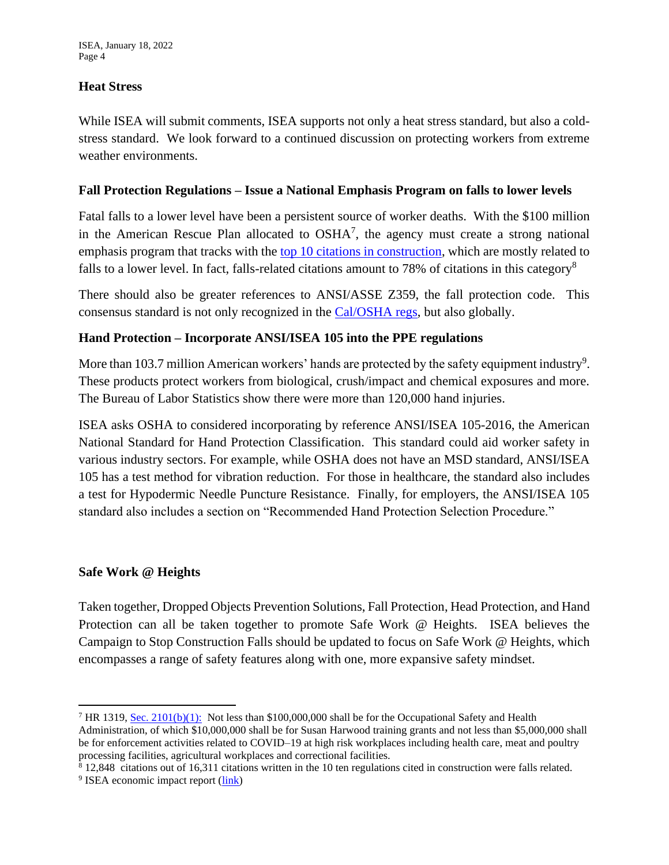## **Heat Stress**

While ISEA will submit comments, ISEA supports not only a heat stress standard, but also a coldstress standard. We look forward to a continued discussion on protecting workers from extreme weather environments.

#### **Fall Protection Regulations – Issue a National Emphasis Program on falls to lower levels**

Fatal falls to a lower level have been a persistent source of worker deaths. With the \$100 million in the American Rescue Plan allocated to  $OSHA<sup>7</sup>$ , the agency must create a strong national emphasis program that tracks with the top 10 [citations in construction,](https://www.constructionjunkie.com/blog/2016/10/17/the-10-most-common-osha-citations-for-construction-in-the-past-12-months) which are mostly related to falls to a lower level. In fact, falls-related citations amount to 78% of citations in this category<sup>8</sup>

There should also be greater references to ANSI/ASSE Z359, the fall protection code. This consensus standard is not only recognized in the [Cal/OSHA regs,](https://www.dir.ca.gov/title8/1670.html) but also globally.

#### **Hand Protection – Incorporate ANSI/ISEA 105 into the PPE regulations**

More than 103.7 million American workers' hands are protected by the safety equipment industry<sup>9</sup>. These products protect workers from biological, crush/impact and chemical exposures and more. The Bureau of Labor Statistics show there were more than 120,000 hand injuries.

ISEA asks OSHA to considered incorporating by reference ANSI/ISEA 105-2016, the American National Standard for Hand Protection Classification. This standard could aid worker safety in various industry sectors. For example, while OSHA does not have an MSD standard, ANSI/ISEA 105 has a test method for vibration reduction. For those in healthcare, the standard also includes a test for Hypodermic Needle Puncture Resistance. Finally, for employers, the ANSI/ISEA 105 standard also includes a section on "Recommended Hand Protection Selection Procedure."

#### **Safe Work @ Heights**

Taken together, Dropped Objects Prevention Solutions, Fall Protection, Head Protection, and Hand Protection can all be taken together to promote Safe Work @ Heights. ISEA believes the Campaign to Stop Construction Falls should be updated to focus on Safe Work @ Heights, which encompasses a range of safety features along with one, more expansive safety mindset.

<sup>7</sup> HR 1319, [Sec. 2101\(b\)\(1\):](https://www.congress.gov/bill/117th-congress/house-bill/1319/text#HF49F671F3102410E9530E9FFA802C664) Not less than \$100,000,000 shall be for the Occupational Safety and Health Administration, of which \$10,000,000 shall be for Susan Harwood training grants and not less than \$5,000,000 shall be for enforcement activities related to COVID–19 at high risk workplaces including health care, meat and poultry processing facilities, agricultural workplaces and correctional facilities.

<sup>8</sup> 12,848 citations out of 16,311 citations written in the 10 ten regulations cited in construction were falls related. <sup>9</sup> ISEA economic impact report [\(link\)](https://safetyequipment.guerrillaeconomics.net/reports/4856671a-be59-4678-b579-648f9089d851?)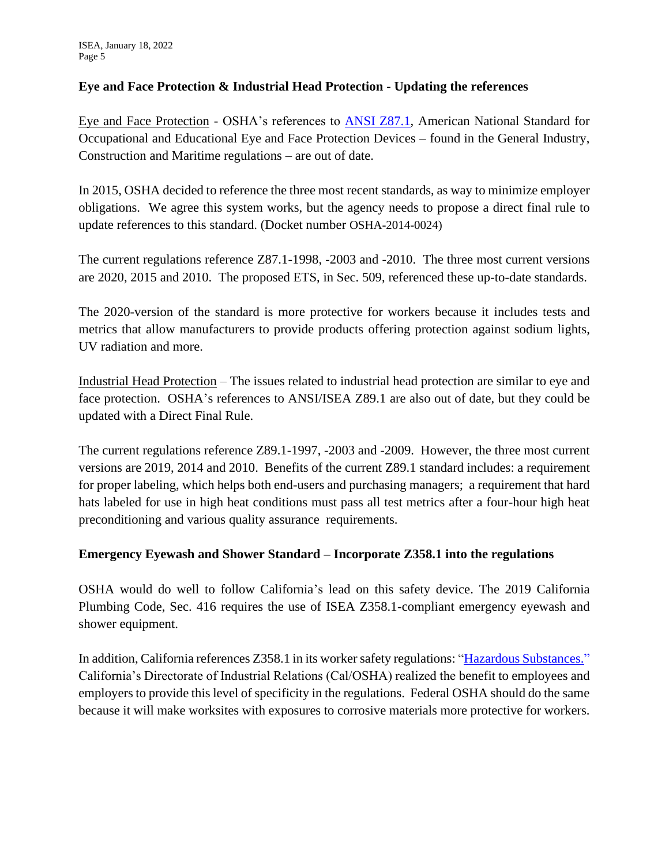# **Eye and Face Protection & Industrial Head Protection - Updating the references**

Eye and Face Protection - OSHA's references to [ANSI Z87.1,](https://safetyequipment.org/product/ansi-isea-z87-1-2020/) American National Standard for Occupational and Educational Eye and Face Protection Devices – found in the General Industry, Construction and Maritime regulations – are out of date.

In 2015, OSHA decided to reference the three most recent standards, as way to minimize employer obligations. We agree this system works, but the agency needs to propose a direct final rule to update references to this standard. (Docket number OSHA-2014-0024)

The current regulations reference Z87.1-1998, -2003 and -2010. The three most current versions are 2020, 2015 and 2010. The proposed ETS, in Sec. 509, referenced these up-to-date standards.

The 2020-version of the standard is more protective for workers because it includes tests and metrics that allow manufacturers to provide products offering protection against sodium lights, UV radiation and more.

Industrial Head Protection – The issues related to industrial head protection are similar to eye and face protection. OSHA's references to ANSI/ISEA Z89.1 are also out of date, but they could be updated with a Direct Final Rule.

The current regulations reference Z89.1-1997, -2003 and -2009. However, the three most current versions are 2019, 2014 and 2010. Benefits of the current Z89.1 standard includes: a requirement for proper labeling, which helps both end-users and purchasing managers; a requirement that hard hats labeled for use in high heat conditions must pass all test metrics after a four-hour high heat preconditioning and various quality assurance requirements.

# **Emergency Eyewash and Shower Standard – Incorporate Z358.1 into the regulations**

OSHA would do well to follow California's lead on this safety device. The 2019 California Plumbing Code, Sec. 416 requires the use of ISEA Z358.1-compliant emergency eyewash and shower equipment.

In addition, California references Z358.1 in its worker safety regulations: ["Hazardous Substances."](https://www.dir.ca.gov/title8/5162.html)  California's Directorate of Industrial Relations (Cal/OSHA) realized the benefit to employees and employers to provide this level of specificity in the regulations. Federal OSHA should do the same because it will make worksites with exposures to corrosive materials more protective for workers.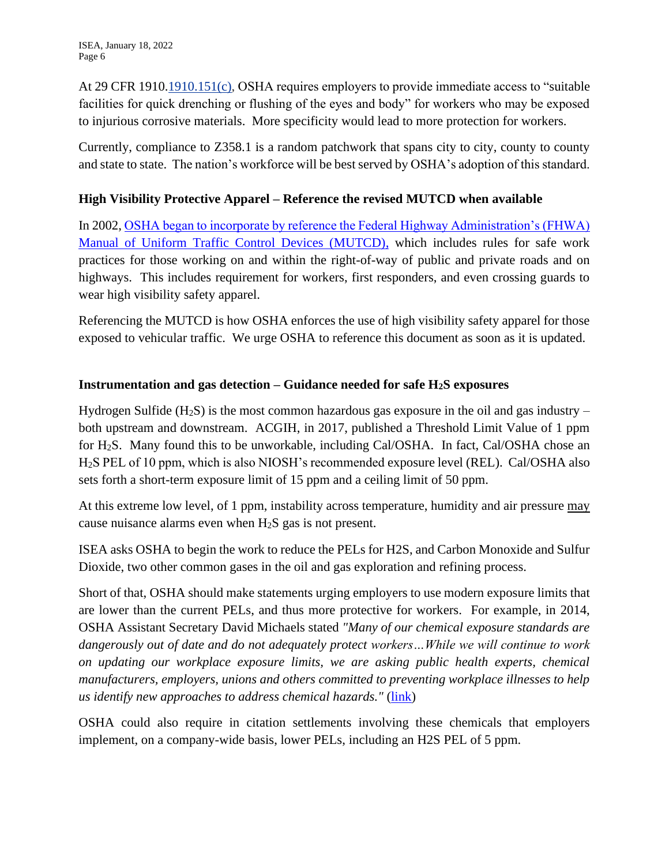At 29 CFR 1910[.1910.151\(c\),](https://www.osha.gov/laws-regs/interlinking/standards/1910.151(c)) OSHA requires employers to provide immediate access to "suitable facilities for quick drenching or flushing of the eyes and body" for workers who may be exposed to injurious corrosive materials. More specificity would lead to more protection for workers.

Currently, compliance to Z358.1 is a random patchwork that spans city to city, county to county and state to state. The nation's workforce will be best served by OSHA's adoption of this standard.

# **High Visibility Protective Apparel – Reference the revised MUTCD when available**

In 2002, [OSHA began to incorporate by reference the Federal Highway Administration's \(FHWA\)](https://www.osha.gov/laws-regs/federalregister/2002-09-12)  [Manual of Uniform Traffic Control Devices \(MUTCD\),](https://www.osha.gov/laws-regs/federalregister/2002-09-12) which includes rules for safe work practices for those working on and within the right-of-way of public and private roads and on highways. This includes requirement for workers, first responders, and even crossing guards to wear high visibility safety apparel.

Referencing the MUTCD is how OSHA enforces the use of high visibility safety apparel for those exposed to vehicular traffic. We urge OSHA to reference this document as soon as it is updated.

# **Instrumentation and gas detection – Guidance needed for safe H2S exposures**

Hydrogen Sulfide  $(H_2S)$  is the most common hazardous gas exposure in the oil and gas industry – both upstream and downstream. ACGIH, in 2017, published a Threshold Limit Value of 1 ppm for H2S. Many found this to be unworkable, including Cal/OSHA. In fact, Cal/OSHA chose an H2S PEL of 10 ppm, which is also NIOSH's recommended exposure level (REL). Cal/OSHA also sets forth a short-term exposure limit of 15 ppm and a ceiling limit of 50 ppm.

At this extreme low level, of 1 ppm, instability across temperature, humidity and air pressure may cause nuisance alarms even when H2S gas is not present.

ISEA asks OSHA to begin the work to reduce the PELs for H2S, and Carbon Monoxide and Sulfur Dioxide, two other common gases in the oil and gas exploration and refining process.

Short of that, OSHA should make statements urging employers to use modern exposure limits that are lower than the current PELs, and thus more protective for workers. For example, in 2014, OSHA Assistant Secretary David Michaels stated *"Many of our chemical exposure standards are dangerously out of date and do not adequately protect workers…While we will continue to work on updating our workplace exposure limits, we are asking public health experts, chemical manufacturers, employers, unions and others committed to preventing workplace illnesses to help us identify new approaches to address chemical hazards."* (*link*)

OSHA could also require in citation settlements involving these chemicals that employers implement, on a company-wide basis, lower PELs, including an H2S PEL of 5 ppm.